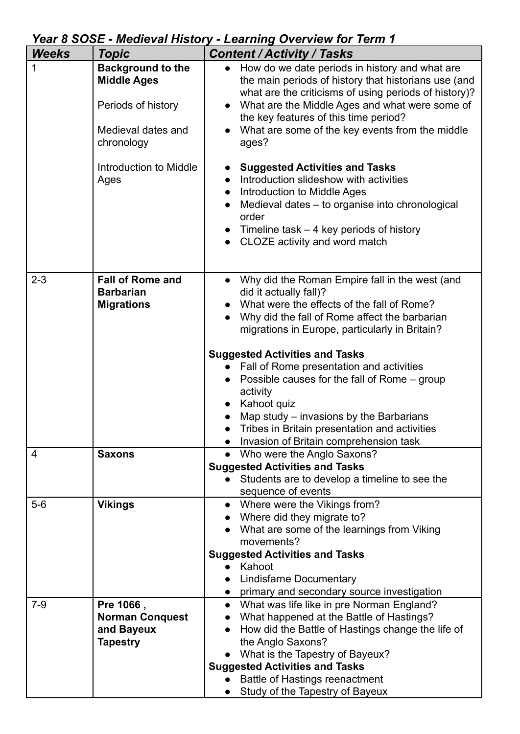| Year 8 SOSE - Medieval History - Learning Overview for Term 1 |  |
|---------------------------------------------------------------|--|
|                                                               |  |

| <b>Weeks</b> | <b>Topic</b>                                                                                             | <b>Content / Activity / Tasks</b>                                                                                                                                                                                                                                                                                                    |
|--------------|----------------------------------------------------------------------------------------------------------|--------------------------------------------------------------------------------------------------------------------------------------------------------------------------------------------------------------------------------------------------------------------------------------------------------------------------------------|
| 1            | <b>Background to the</b><br><b>Middle Ages</b><br>Periods of history<br>Medieval dates and<br>chronology | How do we date periods in history and what are<br>the main periods of history that historians use (and<br>what are the criticisms of using periods of history)?<br>What are the Middle Ages and what were some of<br>the key features of this time period?<br>What are some of the key events from the middle<br>ages?               |
|              | Introduction to Middle<br>Ages                                                                           | <b>Suggested Activities and Tasks</b><br>Introduction slideshow with activities<br>Introduction to Middle Ages<br>$\bullet$<br>Medieval dates – to organise into chronological<br>order<br>Timeline task $-4$ key periods of history<br>CLOZE activity and word match                                                                |
| $2 - 3$      | <b>Fall of Rome and</b><br><b>Barbarian</b><br><b>Migrations</b>                                         | Why did the Roman Empire fall in the west (and<br>$\bullet$<br>did it actually fall)?<br>What were the effects of the fall of Rome?<br>Why did the fall of Rome affect the barbarian<br>migrations in Europe, particularly in Britain?<br><b>Suggested Activities and Tasks</b>                                                      |
|              |                                                                                                          | Fall of Rome presentation and activities<br>Possible causes for the fall of Rome – group<br>activity<br>Kahoot quiz<br>Map study – invasions by the Barbarians<br>Tribes in Britain presentation and activities<br>Invasion of Britain comprehension task                                                                            |
| 4            | <b>Saxons</b>                                                                                            | Who were the Anglo Saxons?<br><b>Suggested Activities and Tasks</b><br>Students are to develop a timeline to see the<br>sequence of events                                                                                                                                                                                           |
| $5-6$        | <b>Vikings</b>                                                                                           | Where were the Vikings from?<br>$\bullet$<br>Where did they migrate to?<br>What are some of the learnings from Viking<br>movements?<br><b>Suggested Activities and Tasks</b><br>Kahoot<br><b>Lindisfarne Documentary</b><br>primary and secondary source investigation                                                               |
| $7-9$        | Pre 1066,<br><b>Norman Conquest</b><br>and Bayeux<br><b>Tapestry</b>                                     | What was life like in pre Norman England?<br>$\bullet$<br>What happened at the Battle of Hastings?<br>How did the Battle of Hastings change the life of<br>the Anglo Saxons?<br>What is the Tapestry of Bayeux?<br><b>Suggested Activities and Tasks</b><br><b>Battle of Hastings reenactment</b><br>Study of the Tapestry of Bayeux |